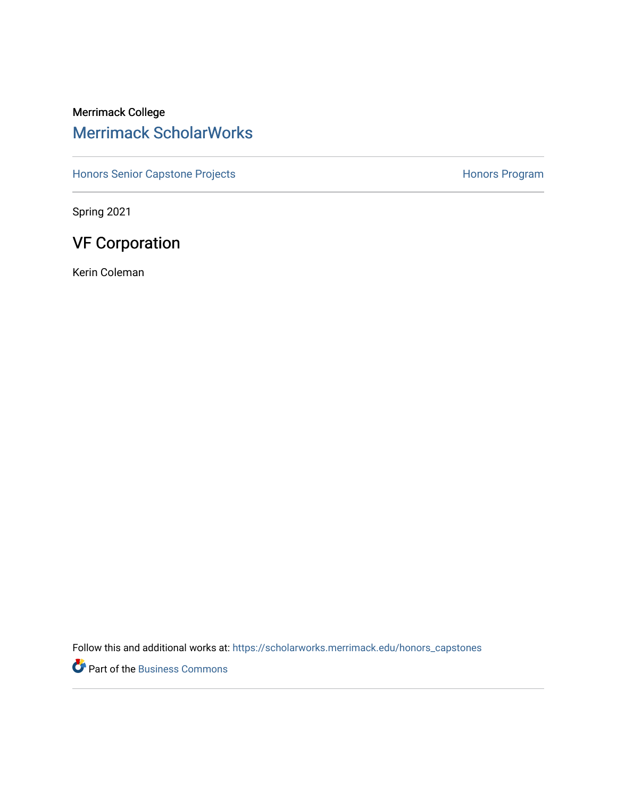## Merrimack College [Merrimack ScholarWorks](https://scholarworks.merrimack.edu/)

[Honors Senior Capstone Projects](https://scholarworks.merrimack.edu/honors_capstones) **Honors Program** Honors Program

Spring 2021

# VF Corporation

Kerin Coleman

Follow this and additional works at: [https://scholarworks.merrimack.edu/honors\\_capstones](https://scholarworks.merrimack.edu/honors_capstones?utm_source=scholarworks.merrimack.edu%2Fhonors_capstones%2F58&utm_medium=PDF&utm_campaign=PDFCoverPages)

Part of the [Business Commons](http://network.bepress.com/hgg/discipline/622?utm_source=scholarworks.merrimack.edu%2Fhonors_capstones%2F58&utm_medium=PDF&utm_campaign=PDFCoverPages)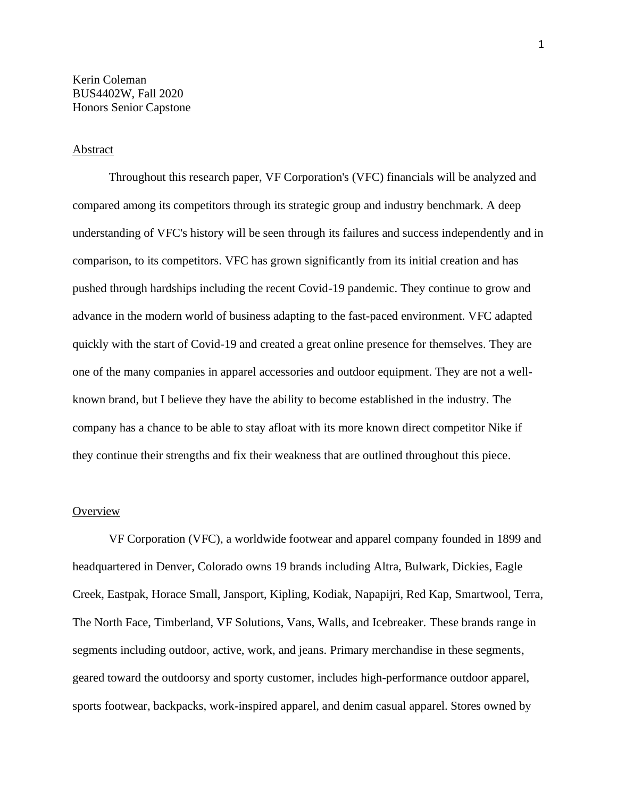## **Abstract**

Throughout this research paper, VF Corporation's (VFC) financials will be analyzed and compared among its competitors through its strategic group and industry benchmark. A deep understanding of VFC's history will be seen through its failures and success independently and in comparison, to its competitors. VFC has grown significantly from its initial creation and has pushed through hardships including the recent Covid-19 pandemic. They continue to grow and advance in the modern world of business adapting to the fast-paced environment. VFC adapted quickly with the start of Covid-19 and created a great online presence for themselves. They are one of the many companies in apparel accessories and outdoor equipment. They are not a wellknown brand, but I believe they have the ability to become established in the industry. The company has a chance to be able to stay afloat with its more known direct competitor Nike if they continue their strengths and fix their weakness that are outlined throughout this piece.

## **Overview**

VF Corporation (VFC), a worldwide footwear and apparel company founded in 1899 and headquartered in Denver, Colorado owns 19 brands including Altra, Bulwark, Dickies, Eagle Creek, Eastpak, Horace Small, Jansport, Kipling, Kodiak, Napapijri, Red Kap, Smartwool, Terra, The North Face, Timberland, VF Solutions, Vans, Walls, and Icebreaker. These brands range in segments including outdoor, active, work, and jeans. Primary merchandise in these segments, geared toward the outdoorsy and sporty customer, includes high-performance outdoor apparel, sports footwear, backpacks, work-inspired apparel, and denim casual apparel. Stores owned by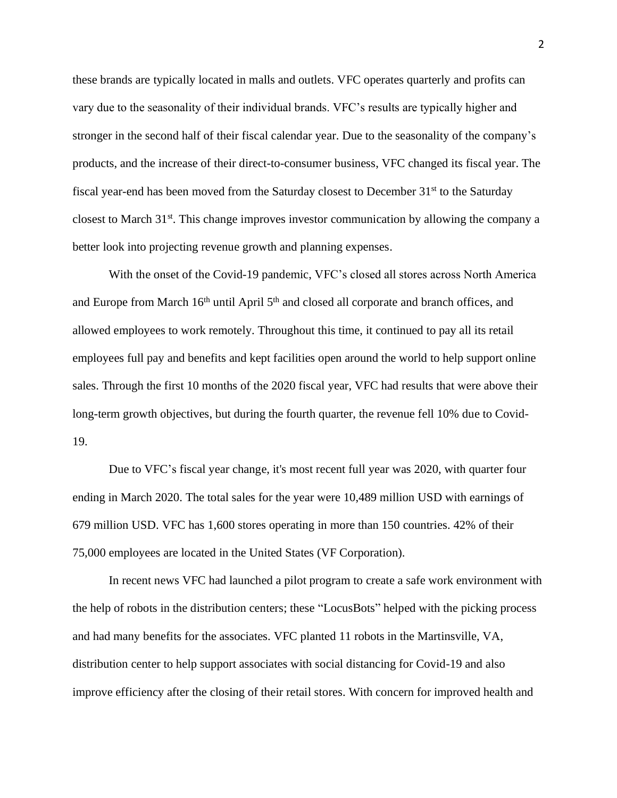these brands are typically located in malls and outlets. VFC operates quarterly and profits can vary due to the seasonality of their individual brands. VFC's results are typically higher and stronger in the second half of their fiscal calendar year. Due to the seasonality of the company's products, and the increase of their direct-to-consumer business, VFC changed its fiscal year. The fiscal year-end has been moved from the Saturday closest to December  $31<sup>st</sup>$  to the Saturday closest to March 31<sup>st</sup>. This change improves investor communication by allowing the company a better look into projecting revenue growth and planning expenses.

With the onset of the Covid-19 pandemic, VFC's closed all stores across North America and Europe from March 16<sup>th</sup> until April 5<sup>th</sup> and closed all corporate and branch offices, and allowed employees to work remotely. Throughout this time, it continued to pay all its retail employees full pay and benefits and kept facilities open around the world to help support online sales. Through the first 10 months of the 2020 fiscal year, VFC had results that were above their long-term growth objectives, but during the fourth quarter, the revenue fell 10% due to Covid-19.

Due to VFC's fiscal year change, it's most recent full year was 2020, with quarter four ending in March 2020. The total sales for the year were 10,489 million USD with earnings of 679 million USD. VFC has 1,600 stores operating in more than 150 countries. 42% of their 75,000 employees are located in the United States (VF Corporation).

In recent news VFC had launched a pilot program to create a safe work environment with the help of robots in the distribution centers; these "LocusBots" helped with the picking process and had many benefits for the associates. VFC planted 11 robots in the Martinsville, VA, distribution center to help support associates with social distancing for Covid-19 and also improve efficiency after the closing of their retail stores. With concern for improved health and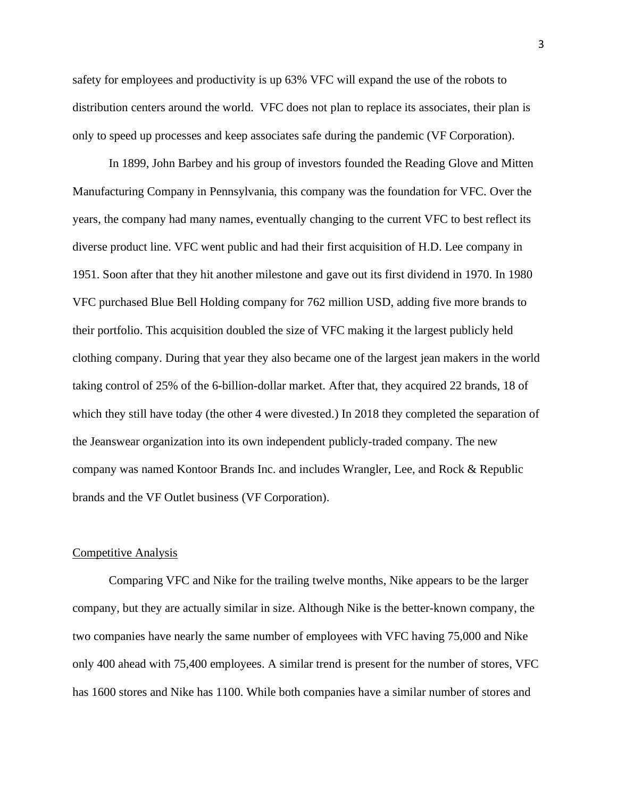safety for employees and productivity is up 63% VFC will expand the use of the robots to distribution centers around the world. VFC does not plan to replace its associates, their plan is only to speed up processes and keep associates safe during the pandemic (VF Corporation).

In 1899, John Barbey and his group of investors founded the Reading Glove and Mitten Manufacturing Company in Pennsylvania, this company was the foundation for VFC. Over the years, the company had many names, eventually changing to the current VFC to best reflect its diverse product line. VFC went public and had their first acquisition of H.D. Lee company in 1951. Soon after that they hit another milestone and gave out its first dividend in 1970. In 1980 VFC purchased Blue Bell Holding company for 762 million USD, adding five more brands to their portfolio. This acquisition doubled the size of VFC making it the largest publicly held clothing company. During that year they also became one of the largest jean makers in the world taking control of 25% of the 6-billion-dollar market. After that, they acquired 22 brands, 18 of which they still have today (the other 4 were divested.) In 2018 they completed the separation of the Jeanswear organization into its own independent publicly-traded company. The new company was named Kontoor Brands Inc. and includes Wrangler, Lee, and Rock & Republic brands and the VF Outlet business (VF Corporation).

#### Competitive Analysis

Comparing VFC and Nike for the trailing twelve months, Nike appears to be the larger company, but they are actually similar in size. Although Nike is the better-known company, the two companies have nearly the same number of employees with VFC having 75,000 and Nike only 400 ahead with 75,400 employees. A similar trend is present for the number of stores, VFC has 1600 stores and Nike has 1100. While both companies have a similar number of stores and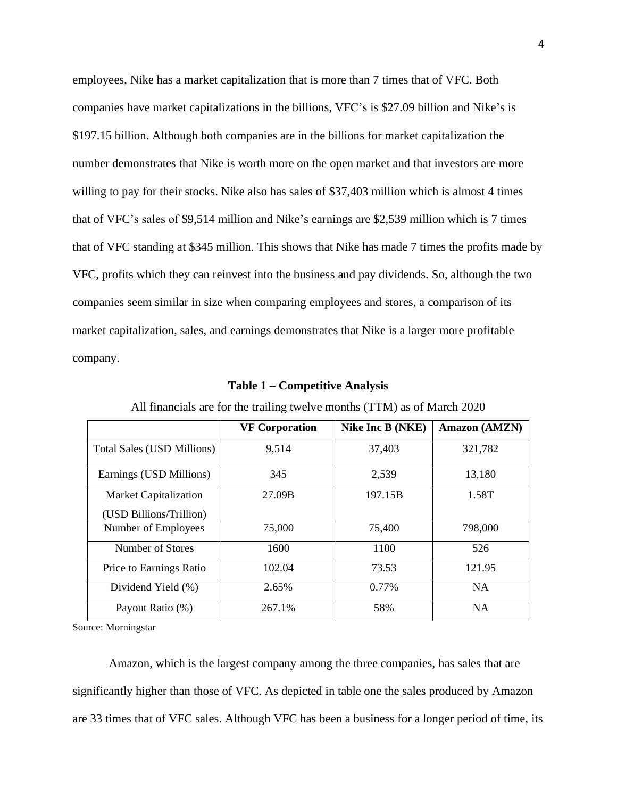employees, Nike has a market capitalization that is more than 7 times that of VFC. Both companies have market capitalizations in the billions, VFC's is \$27.09 billion and Nike's is \$197.15 billion. Although both companies are in the billions for market capitalization the number demonstrates that Nike is worth more on the open market and that investors are more willing to pay for their stocks. Nike also has sales of \$37,403 million which is almost 4 times that of VFC's sales of \$9,514 million and Nike's earnings are \$2,539 million which is 7 times that of VFC standing at \$345 million. This shows that Nike has made 7 times the profits made by VFC, profits which they can reinvest into the business and pay dividends. So, although the two companies seem similar in size when comparing employees and stores, a comparison of its market capitalization, sales, and earnings demonstrates that Nike is a larger more profitable company.

|                                   | <b>VF Corporation</b> | Nike Inc B (NKE) | Amazon (AMZN) |
|-----------------------------------|-----------------------|------------------|---------------|
| <b>Total Sales (USD Millions)</b> | 9,514                 | 37,403           | 321,782       |
| Earnings (USD Millions)           | 345                   | 2,539            | 13,180        |
| <b>Market Capitalization</b>      | 27.09B                | 197.15B          | 1.58T         |
| (USD Billions/Trillion)           |                       |                  |               |
| Number of Employees               | 75,000                | 75,400           | 798,000       |
| Number of Stores                  | 1600                  | 1100             | 526           |
| Price to Earnings Ratio           | 102.04                | 73.53            | 121.95        |
| Dividend Yield (%)                | 2.65%                 | 0.77%            | <b>NA</b>     |
| Payout Ratio (%)                  | 267.1%                | 58%              | <b>NA</b>     |

All financials are for the trailing twelve months (TTM) as of March 2020

**Table 1 – Competitive Analysis**

Source: Morningstar

Amazon, which is the largest company among the three companies, has sales that are significantly higher than those of VFC. As depicted in table one the sales produced by Amazon are 33 times that of VFC sales. Although VFC has been a business for a longer period of time, its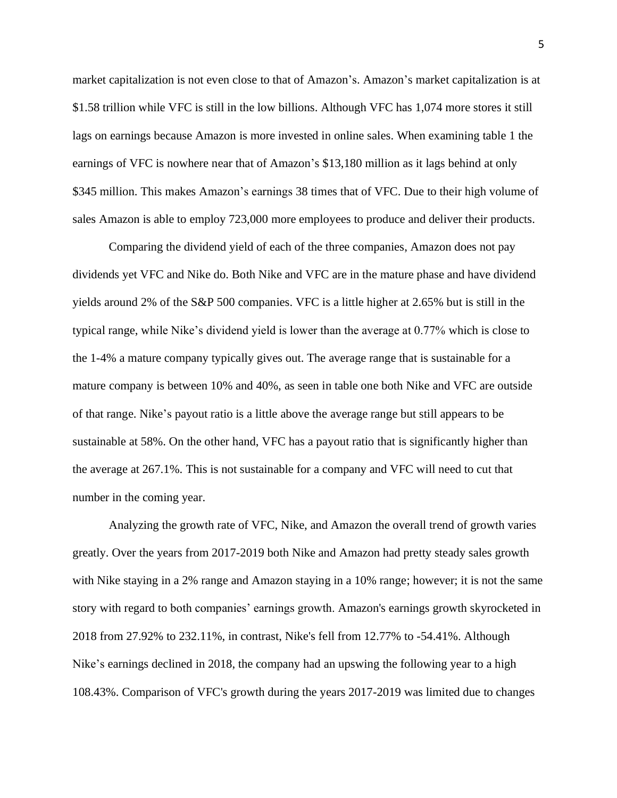market capitalization is not even close to that of Amazon's. Amazon's market capitalization is at \$1.58 trillion while VFC is still in the low billions. Although VFC has 1,074 more stores it still lags on earnings because Amazon is more invested in online sales. When examining table 1 the earnings of VFC is nowhere near that of Amazon's \$13,180 million as it lags behind at only \$345 million. This makes Amazon's earnings 38 times that of VFC. Due to their high volume of sales Amazon is able to employ 723,000 more employees to produce and deliver their products.

Comparing the dividend yield of each of the three companies, Amazon does not pay dividends yet VFC and Nike do. Both Nike and VFC are in the mature phase and have dividend yields around 2% of the S&P 500 companies. VFC is a little higher at 2.65% but is still in the typical range, while Nike's dividend yield is lower than the average at 0.77% which is close to the 1-4% a mature company typically gives out. The average range that is sustainable for a mature company is between 10% and 40%, as seen in table one both Nike and VFC are outside of that range. Nike's payout ratio is a little above the average range but still appears to be sustainable at 58%. On the other hand, VFC has a payout ratio that is significantly higher than the average at 267.1%. This is not sustainable for a company and VFC will need to cut that number in the coming year.

Analyzing the growth rate of VFC, Nike, and Amazon the overall trend of growth varies greatly. Over the years from 2017-2019 both Nike and Amazon had pretty steady sales growth with Nike staying in a 2% range and Amazon staying in a 10% range; however; it is not the same story with regard to both companies' earnings growth. Amazon's earnings growth skyrocketed in 2018 from 27.92% to 232.11%, in contrast, Nike's fell from 12.77% to -54.41%. Although Nike's earnings declined in 2018, the company had an upswing the following year to a high 108.43%. Comparison of VFC's growth during the years 2017-2019 was limited due to changes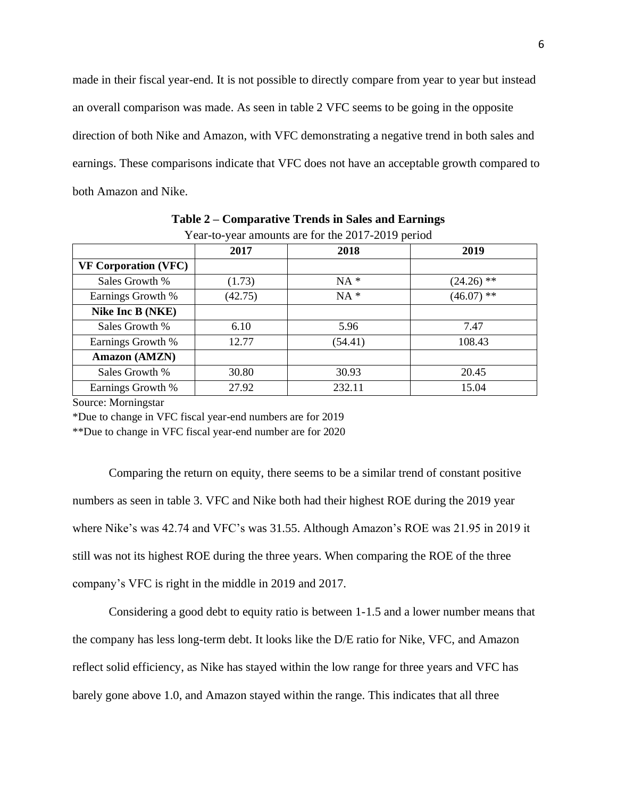made in their fiscal year-end. It is not possible to directly compare from year to year but instead an overall comparison was made. As seen in table 2 VFC seems to be going in the opposite direction of both Nike and Amazon, with VFC demonstrating a negative trend in both sales and earnings. These comparisons indicate that VFC does not have an acceptable growth compared to both Amazon and Nike.

|                             | 2017    | 2018    | 2019         |
|-----------------------------|---------|---------|--------------|
| <b>VF Corporation (VFC)</b> |         |         |              |
| Sales Growth %              | (1.73)  | $NA *$  | $(24.26)$ ** |
| Earnings Growth %           | (42.75) | $NA *$  | $(46.07)$ ** |
| Nike Inc B (NKE)            |         |         |              |
| Sales Growth %              | 6.10    | 5.96    | 7.47         |
| Earnings Growth %           | 12.77   | (54.41) | 108.43       |
| Amazon (AMZN)               |         |         |              |
| Sales Growth %              | 30.80   | 30.93   | 20.45        |
| Earnings Growth %           | 27.92   | 232.11  | 15.04        |

**Table 2 – Comparative Trends in Sales and Earnings** Year-to-year amounts are for the 2017-2019 period

Source: Morningstar

\*Due to change in VFC fiscal year-end numbers are for 2019

\*\*Due to change in VFC fiscal year-end number are for 2020

Comparing the return on equity, there seems to be a similar trend of constant positive numbers as seen in table 3. VFC and Nike both had their highest ROE during the 2019 year where Nike's was 42.74 and VFC's was 31.55. Although Amazon's ROE was 21.95 in 2019 it still was not its highest ROE during the three years. When comparing the ROE of the three company's VFC is right in the middle in 2019 and 2017.

Considering a good debt to equity ratio is between 1-1.5 and a lower number means that the company has less long-term debt. It looks like the D/E ratio for Nike, VFC, and Amazon reflect solid efficiency, as Nike has stayed within the low range for three years and VFC has barely gone above 1.0, and Amazon stayed within the range. This indicates that all three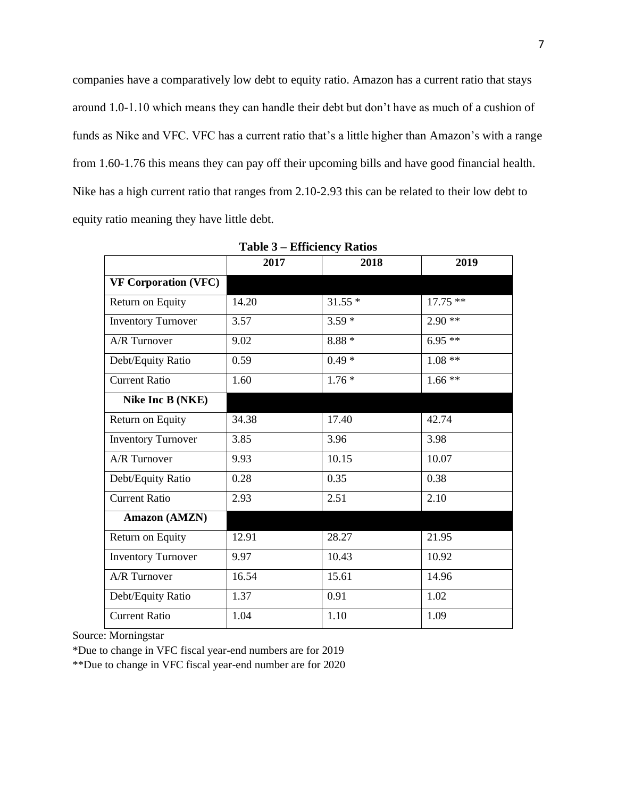companies have a comparatively low debt to equity ratio. Amazon has a current ratio that stays around 1.0-1.10 which means they can handle their debt but don't have as much of a cushion of funds as Nike and VFC. VFC has a current ratio that's a little higher than Amazon's with a range from 1.60-1.76 this means they can pay off their upcoming bills and have good financial health. Nike has a high current ratio that ranges from 2.10-2.93 this can be related to their low debt to equity ratio meaning they have little debt.

|                             | 2017  | 2018     | 2019      |
|-----------------------------|-------|----------|-----------|
| <b>VF Corporation (VFC)</b> |       |          |           |
| Return on Equity            | 14.20 | $31.55*$ | $17.75**$ |
| <b>Inventory Turnover</b>   | 3.57  | $3.59*$  | $2.90**$  |
| A/R Turnover                | 9.02  | $8.88*$  | $6.95**$  |
| Debt/Equity Ratio           | 0.59  | $0.49*$  | $1.08**$  |
| <b>Current Ratio</b>        | 1.60  | $1.76*$  | $1.66**$  |
| Nike Inc B (NKE)            |       |          |           |
| Return on Equity            | 34.38 | 17.40    | 42.74     |
| <b>Inventory Turnover</b>   | 3.85  | 3.96     | 3.98      |
| A/R Turnover                | 9.93  | 10.15    | 10.07     |
| Debt/Equity Ratio           | 0.28  | 0.35     | 0.38      |
| <b>Current Ratio</b>        | 2.93  | 2.51     | 2.10      |
| Amazon (AMZN)               |       |          |           |
| Return on Equity            | 12.91 | 28.27    | 21.95     |
| <b>Inventory Turnover</b>   | 9.97  | 10.43    | 10.92     |
| A/R Turnover                | 16.54 | 15.61    | 14.96     |
| Debt/Equity Ratio           | 1.37  | 0.91     | 1.02      |
| <b>Current Ratio</b>        | 1.04  | 1.10     | 1.09      |
|                             |       |          |           |

**Table 3 – Efficiency Ratios**

Source: Morningstar

\*Due to change in VFC fiscal year-end numbers are for 2019

\*\*Due to change in VFC fiscal year-end number are for 2020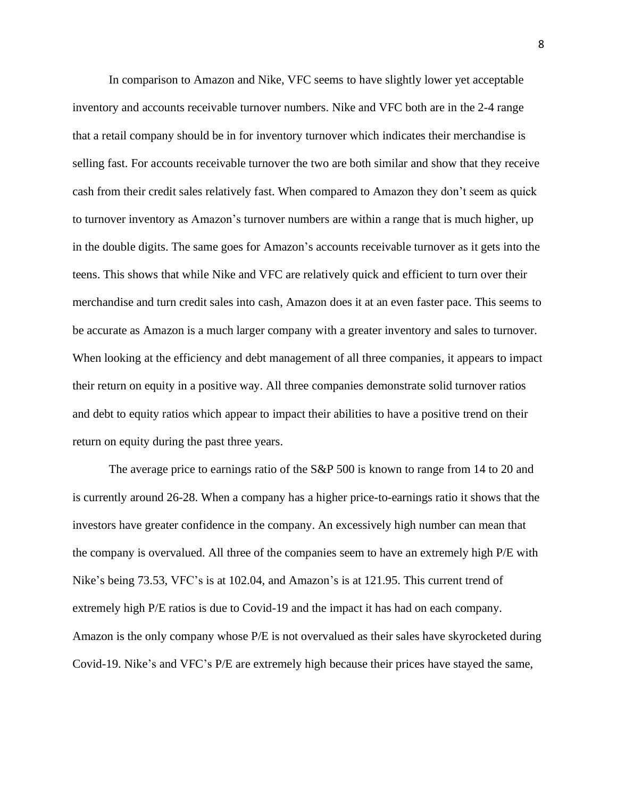In comparison to Amazon and Nike, VFC seems to have slightly lower yet acceptable inventory and accounts receivable turnover numbers. Nike and VFC both are in the 2-4 range that a retail company should be in for inventory turnover which indicates their merchandise is selling fast. For accounts receivable turnover the two are both similar and show that they receive cash from their credit sales relatively fast. When compared to Amazon they don't seem as quick to turnover inventory as Amazon's turnover numbers are within a range that is much higher, up in the double digits. The same goes for Amazon's accounts receivable turnover as it gets into the teens. This shows that while Nike and VFC are relatively quick and efficient to turn over their merchandise and turn credit sales into cash, Amazon does it at an even faster pace. This seems to be accurate as Amazon is a much larger company with a greater inventory and sales to turnover. When looking at the efficiency and debt management of all three companies, it appears to impact their return on equity in a positive way. All three companies demonstrate solid turnover ratios and debt to equity ratios which appear to impact their abilities to have a positive trend on their return on equity during the past three years.

The average price to earnings ratio of the S&P 500 is known to range from 14 to 20 and is currently around 26-28. When a company has a higher price-to-earnings ratio it shows that the investors have greater confidence in the company. An excessively high number can mean that the company is overvalued. All three of the companies seem to have an extremely high P/E with Nike's being 73.53, VFC's is at 102.04, and Amazon's is at 121.95. This current trend of extremely high P/E ratios is due to Covid-19 and the impact it has had on each company. Amazon is the only company whose P/E is not overvalued as their sales have skyrocketed during Covid-19. Nike's and VFC's P/E are extremely high because their prices have stayed the same,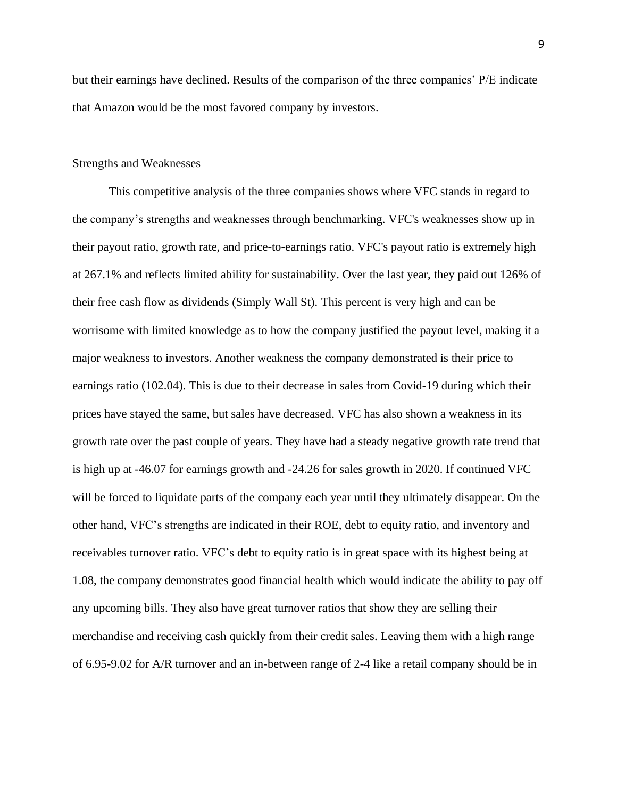but their earnings have declined. Results of the comparison of the three companies' P/E indicate that Amazon would be the most favored company by investors.

### Strengths and Weaknesses

This competitive analysis of the three companies shows where VFC stands in regard to the company's strengths and weaknesses through benchmarking. VFC's weaknesses show up in their payout ratio, growth rate, and price-to-earnings ratio. VFC's payout ratio is extremely high at 267.1% and reflects limited ability for sustainability. Over the last year, they paid out 126% of their free cash flow as dividends (Simply Wall St). This percent is very high and can be worrisome with limited knowledge as to how the company justified the payout level, making it a major weakness to investors. Another weakness the company demonstrated is their price to earnings ratio (102.04). This is due to their decrease in sales from Covid-19 during which their prices have stayed the same, but sales have decreased. VFC has also shown a weakness in its growth rate over the past couple of years. They have had a steady negative growth rate trend that is high up at -46.07 for earnings growth and -24.26 for sales growth in 2020. If continued VFC will be forced to liquidate parts of the company each year until they ultimately disappear. On the other hand, VFC's strengths are indicated in their ROE, debt to equity ratio, and inventory and receivables turnover ratio. VFC's debt to equity ratio is in great space with its highest being at 1.08, the company demonstrates good financial health which would indicate the ability to pay off any upcoming bills. They also have great turnover ratios that show they are selling their merchandise and receiving cash quickly from their credit sales. Leaving them with a high range of 6.95-9.02 for A/R turnover and an in-between range of 2-4 like a retail company should be in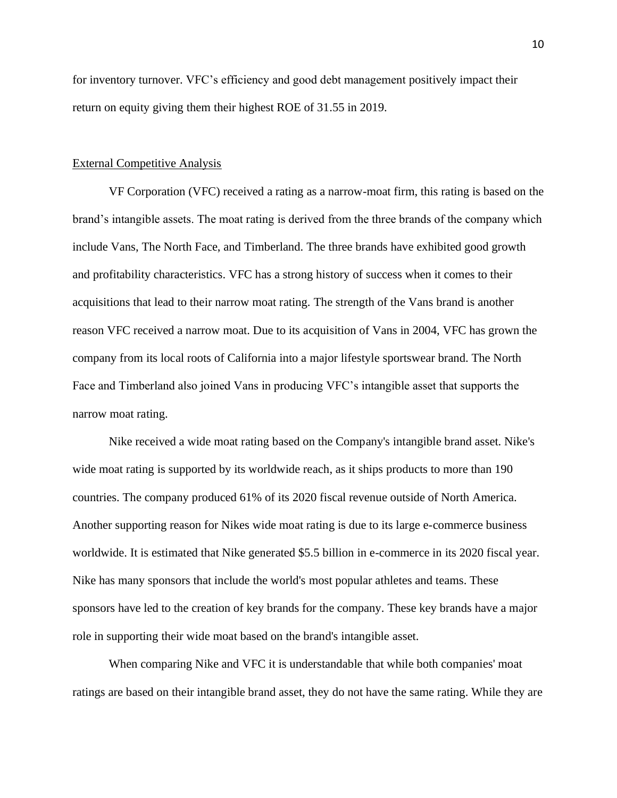for inventory turnover. VFC's efficiency and good debt management positively impact their return on equity giving them their highest ROE of 31.55 in 2019.

#### External Competitive Analysis

VF Corporation (VFC) received a rating as a narrow-moat firm, this rating is based on the brand's intangible assets. The moat rating is derived from the three brands of the company which include Vans, The North Face, and Timberland. The three brands have exhibited good growth and profitability characteristics. VFC has a strong history of success when it comes to their acquisitions that lead to their narrow moat rating. The strength of the Vans brand is another reason VFC received a narrow moat. Due to its acquisition of Vans in 2004, VFC has grown the company from its local roots of California into a major lifestyle sportswear brand. The North Face and Timberland also joined Vans in producing VFC's intangible asset that supports the narrow moat rating.

Nike received a wide moat rating based on the Company's intangible brand asset. Nike's wide moat rating is supported by its worldwide reach, as it ships products to more than 190 countries. The company produced 61% of its 2020 fiscal revenue outside of North America. Another supporting reason for Nikes wide moat rating is due to its large e-commerce business worldwide. It is estimated that Nike generated \$5.5 billion in e-commerce in its 2020 fiscal year. Nike has many sponsors that include the world's most popular athletes and teams. These sponsors have led to the creation of key brands for the company. These key brands have a major role in supporting their wide moat based on the brand's intangible asset.

When comparing Nike and VFC it is understandable that while both companies' moat ratings are based on their intangible brand asset, they do not have the same rating. While they are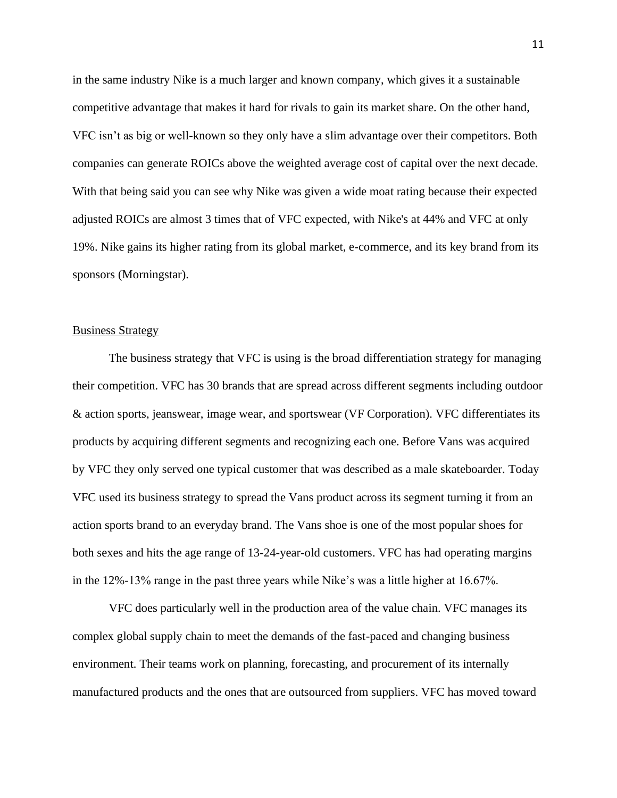in the same industry Nike is a much larger and known company, which gives it a sustainable competitive advantage that makes it hard for rivals to gain its market share. On the other hand, VFC isn't as big or well-known so they only have a slim advantage over their competitors. Both companies can generate ROICs above the weighted average cost of capital over the next decade. With that being said you can see why Nike was given a wide moat rating because their expected adjusted ROICs are almost 3 times that of VFC expected, with Nike's at 44% and VFC at only 19%. Nike gains its higher rating from its global market, e-commerce, and its key brand from its sponsors (Morningstar).

#### Business Strategy

The business strategy that VFC is using is the broad differentiation strategy for managing their competition. VFC has 30 brands that are spread across different segments including outdoor & action sports, jeanswear, image wear, and sportswear (VF Corporation). VFC differentiates its products by acquiring different segments and recognizing each one. Before Vans was acquired by VFC they only served one typical customer that was described as a male skateboarder. Today VFC used its business strategy to spread the Vans product across its segment turning it from an action sports brand to an everyday brand. The Vans shoe is one of the most popular shoes for both sexes and hits the age range of 13-24-year-old customers. VFC has had operating margins in the 12%-13% range in the past three years while Nike's was a little higher at 16.67%.

VFC does particularly well in the production area of the value chain. VFC manages its complex global supply chain to meet the demands of the fast-paced and changing business environment. Their teams work on planning, forecasting, and procurement of its internally manufactured products and the ones that are outsourced from suppliers. VFC has moved toward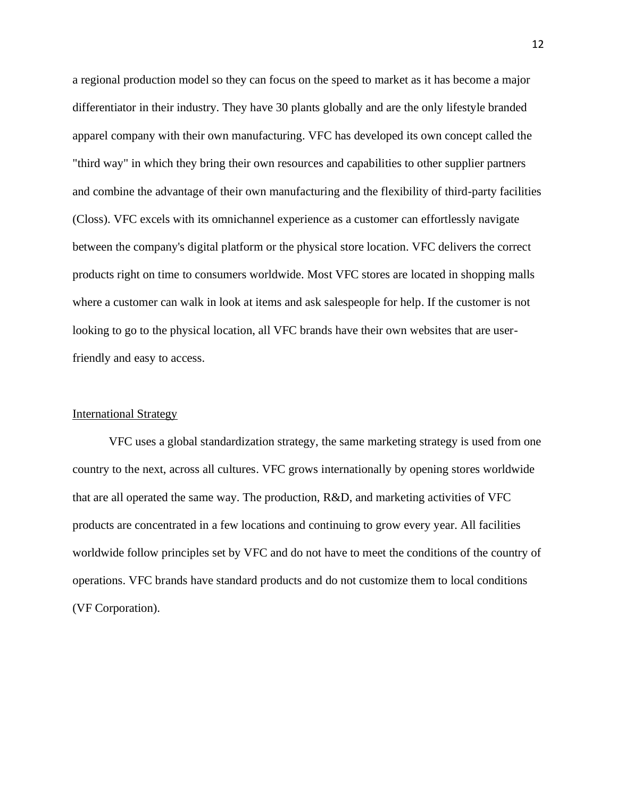a regional production model so they can focus on the speed to market as it has become a major differentiator in their industry. They have 30 plants globally and are the only lifestyle branded apparel company with their own manufacturing. VFC has developed its own concept called the "third way" in which they bring their own resources and capabilities to other supplier partners and combine the advantage of their own manufacturing and the flexibility of third-party facilities (Closs). VFC excels with its omnichannel experience as a customer can effortlessly navigate between the company's digital platform or the physical store location. VFC delivers the correct products right on time to consumers worldwide. Most VFC stores are located in shopping malls where a customer can walk in look at items and ask salespeople for help. If the customer is not looking to go to the physical location, all VFC brands have their own websites that are userfriendly and easy to access.

## International Strategy

VFC uses a global standardization strategy, the same marketing strategy is used from one country to the next, across all cultures. VFC grows internationally by opening stores worldwide that are all operated the same way. The production, R&D, and marketing activities of VFC products are concentrated in a few locations and continuing to grow every year. All facilities worldwide follow principles set by VFC and do not have to meet the conditions of the country of operations. VFC brands have standard products and do not customize them to local conditions (VF Corporation).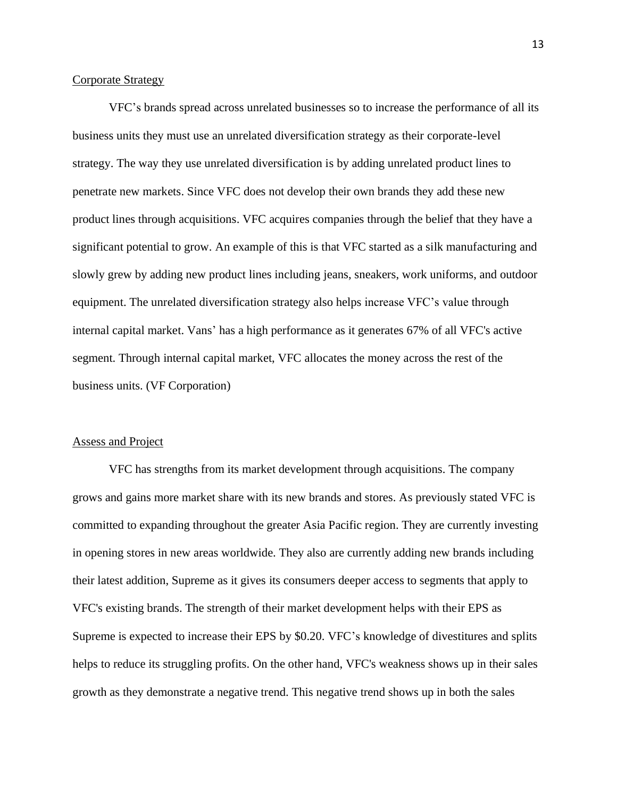## Corporate Strategy

VFC's brands spread across unrelated businesses so to increase the performance of all its business units they must use an unrelated diversification strategy as their corporate-level strategy. The way they use unrelated diversification is by adding unrelated product lines to penetrate new markets. Since VFC does not develop their own brands they add these new product lines through acquisitions. VFC acquires companies through the belief that they have a significant potential to grow. An example of this is that VFC started as a silk manufacturing and slowly grew by adding new product lines including jeans, sneakers, work uniforms, and outdoor equipment. The unrelated diversification strategy also helps increase VFC's value through internal capital market. Vans' has a high performance as it generates 67% of all VFC's active segment. Through internal capital market, VFC allocates the money across the rest of the business units. (VF Corporation)

#### Assess and Project

VFC has strengths from its market development through acquisitions. The company grows and gains more market share with its new brands and stores. As previously stated VFC is committed to expanding throughout the greater Asia Pacific region. They are currently investing in opening stores in new areas worldwide. They also are currently adding new brands including their latest addition, Supreme as it gives its consumers deeper access to segments that apply to VFC's existing brands. The strength of their market development helps with their EPS as Supreme is expected to increase their EPS by \$0.20. VFC's knowledge of divestitures and splits helps to reduce its struggling profits. On the other hand, VFC's weakness shows up in their sales growth as they demonstrate a negative trend. This negative trend shows up in both the sales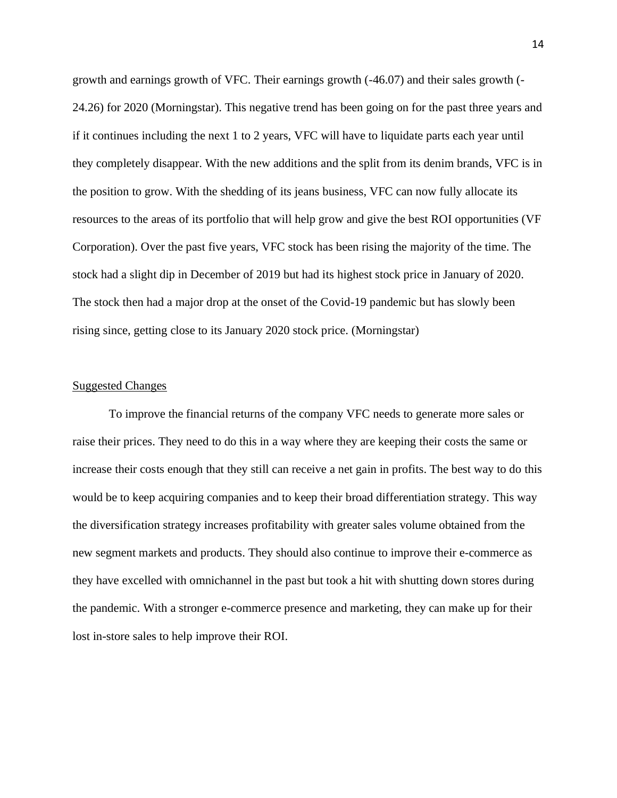growth and earnings growth of VFC. Their earnings growth (-46.07) and their sales growth (- 24.26) for 2020 (Morningstar). This negative trend has been going on for the past three years and if it continues including the next 1 to 2 years, VFC will have to liquidate parts each year until they completely disappear. With the new additions and the split from its denim brands, VFC is in the position to grow. With the shedding of its jeans business, VFC can now fully allocate its resources to the areas of its portfolio that will help grow and give the best ROI opportunities (VF Corporation). Over the past five years, VFC stock has been rising the majority of the time. The stock had a slight dip in December of 2019 but had its highest stock price in January of 2020. The stock then had a major drop at the onset of the Covid-19 pandemic but has slowly been rising since, getting close to its January 2020 stock price. (Morningstar)

#### Suggested Changes

To improve the financial returns of the company VFC needs to generate more sales or raise their prices. They need to do this in a way where they are keeping their costs the same or increase their costs enough that they still can receive a net gain in profits. The best way to do this would be to keep acquiring companies and to keep their broad differentiation strategy. This way the diversification strategy increases profitability with greater sales volume obtained from the new segment markets and products. They should also continue to improve their e-commerce as they have excelled with omnichannel in the past but took a hit with shutting down stores during the pandemic. With a stronger e-commerce presence and marketing, they can make up for their lost in-store sales to help improve their ROI.